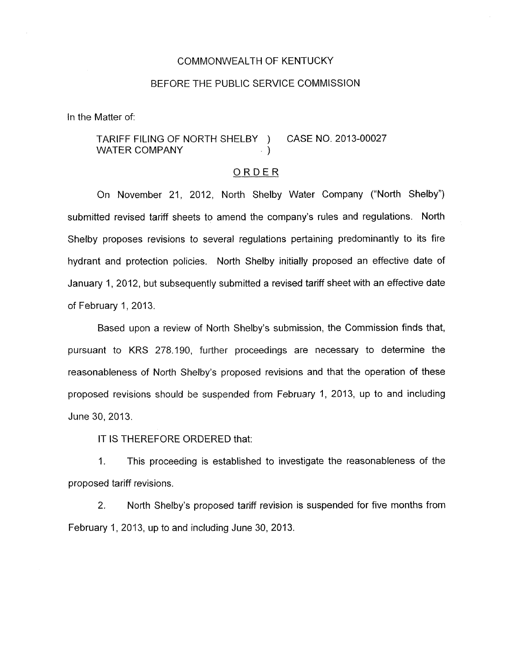## COMMONWEALTH OF KENTUCKY

#### BEFORE THE PUBLIC SERVICE COMMISSION

In the Matter of:

# TARIFF FILING OF NORTH SHELBY ) CASE NO. 2013-00027 WATER COMPANY 1999 (1999)

#### ORDER

On November 21, 2012, North Shelby Water Company ("North Shelby") submitted revised tariff sheets to amend the company's rules and regulations. North Shelby proposes revisions to several regulations pertaining predominantly to its fire hydrant and protection policies. North Shelby initially proposed an effective date of January 1, 2012, but subsequently submitted a revised tariff sheet with an effective date of February 1, 2013.

Based upon a review of North Shelby's submission, the Commission finds that, pursuant to KRS 278.190, further proceedings are necessary to determine the reasonableness of North Shelby's proposed revisions and that the operation of these proposed revisions should be suspended from February 1, 2013, up to and including June 30,2013.

IT IS THEREFORE ORDERED that:

1. This proceeding is established to investigate the reasonableness of the proposed tariff revisions.

2. North Shelby's proposed tariff revision is suspended for five months from February I, 2013, up to and including June 30, 2013.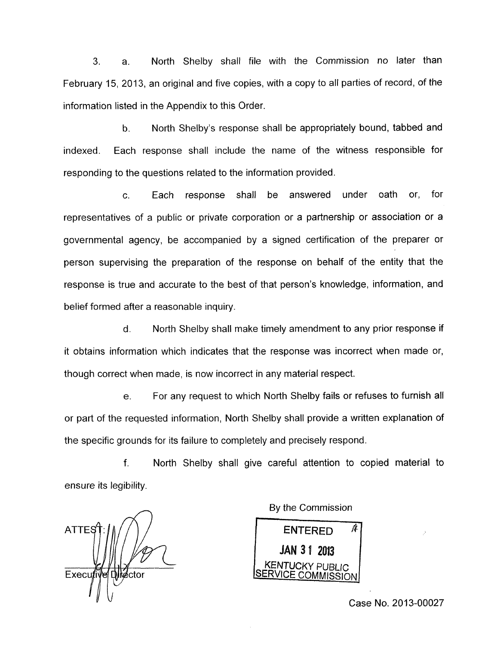3. a. North Shelby shall file with the Commission no later than February 15, 2013, an original and five copies, with a copy to all parties of record, of the information listed in the Appendix to this Order.

b. North Shelby's response shall be appropriately bound, tabbed and indexed. Each response shall include the name of the witness responsible for responding to the questions related to the information provided.

c. Each response shall be answered under oath or, for representatives of a public or private corporation or a partnership or association or a governmental agency, be accompanied by a signed certification of the preparer or person supervising the preparation of the response on behalf of the entity that the response is true and accurate to the best of that person's knowledge, information, and belief formed after a reasonable inquiry.

 $d_{\cdot}$ North Shelby shall make timely amendment to any prior response if it obtains information which indicates that the response was incorrect when made or, though correct when made, is now incorrect in any material respect.

For any request to which North Shelby fails or refuses to furnish all  $e<sub>1</sub>$ or part of the requested information, North Shelby shall provide a written explanation of the specific grounds for its failure to completely and precisely respond.

 $f_{\cdot}$ North Shelby shall give careful attention to copied material to ensure its legibility.

**ATTES**  $Execufiv$ **Dikector** 

By the Commission

ENTERED *A*  JAN 31 2013 **KENTUCKY PL** /ICE COMMISSION

Case No. 2013-00027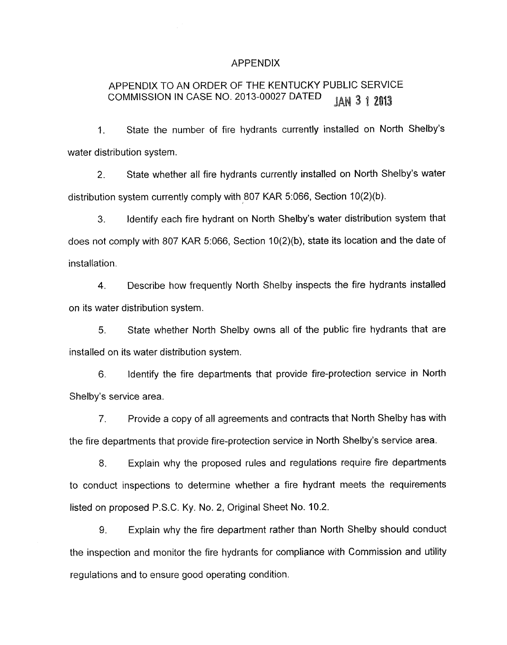### APPENDIX

# APPENDIX TO AN ORDER OF THE KENTUCKY PUBLIC SERVICE COMMISSION IN CASE NO. 2013-00027 DATED **JAN 3 1 2013**

1. State the number of fire hydrants currently installed on North Shelby's water distribution system.

2. State whether all fire hydrants currently installed on North Shelby's water distribution system currently comply with 807 KAR 5:066, Section 10(2)(b).

*3.* Identify each fire hydrant on North Shelby's water distribution system that does not comply with 807 KAR 5:066, Section 10(2)(b), state its location and the date of installation.

**4.** Describe how frequently North Shelby inspects the fire hydrants installed on its water distribution system.

*5.* State whether North Shelby owns all of the public fire hydrants that are installed on its water distribution system.

6. Identify the fire departments that provide fire-protection service in North Shelby's service area.

7. Provide a copy of all agreements and contracts that North Shelby has with the fire departments that provide fire-protection service in North Shelby's service area.

*8.* Explain why the proposed rules and regulations require fire departments to conduct inspections to determine whether a fire hydrant meets the requirements listed on proposed P.S.C. Ky. No. 2, Original Sheet No. 10.2.

9. Explain why the fire department rather than North Shelby should conduct the inspection and monitor the fire hydrants for compliance with Commission and utility regulations and to ensure good operating condition.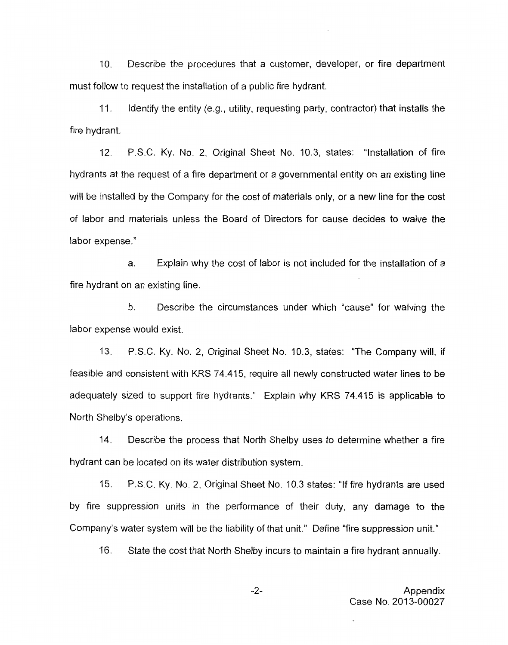**IO.** Describe the procedures that a customer, developer, or fire department must follow to request the installation of a public fire hydrant.

**11.** Identify the entity (e.g., utility, requesting party, contractor) that installs the fire hydrant.

**12.** P.S.C. Ky. No. 2, Original Sheet No. **10.3,** states: "Installation of fire hydrants at the request of a fire department or a governmental entity on an existing line will be installed by the Company for the cost of materials only, or a new line for the cost of labor and materials unless the Board of Directors for cause decides to waive the labor expense."

a. Explain why the cost of labor is not included for the installation of a fire hydrant on an existing line.

b. Describe the circumstances under which "cause" for waiving the labor expense would exist.

**13.** P.S.C. Ky. No. 2, Original Sheet No. **10.3,** states: "The Company will, if feasible and consistent with KRS 74.415, require all newly constructed water lines to be adequately sized to support fire hydrants." Explain why **KRS 74.415** is applicable to North Shelby's operations.

**14.** Describe the process that North Shelby uses to determine whether a fire hydrant can be located on its water distribution system.

**15.** P.S.C. Ky. No. **2,** Original Sheet No. **10.3** states: "If fire hydrants are used by fire suppression units in the performance of their duty, any damage to the Company's water system will be the liability of that unit." Define "fire suppression unit."

**16.** State the cost that North Shelby incurs to maintain a fire hydrant annually.

 $-2-$